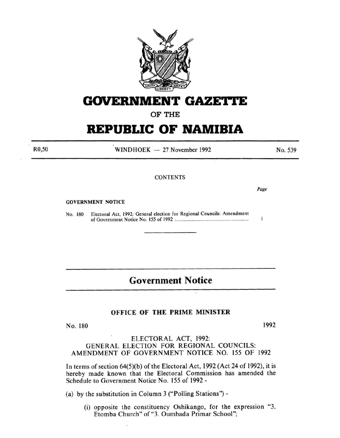

## GOVERNMENT GAZETTE

OF THE

# **REPUBLIC OF NAMIBIA**

 $WINDHOEK - 27 November 1992$ 

**CONTENTS** 

#### GOVERNMENT NOTICE

No. 180 Electoral Act, 1992: General election for Regional Councils: Amendment of Government Notice No. 155 of 1992 ..................................................................... .

## **Government Notice**

### OFFICE OF THE PRIME MINISTER

No. 180 1992

### ELECTORAL ACT, 1992: GENERAL ELECTION FOR REGIONAL COUNCILS: AMENDMENT OF GOVERNMENT NOTICE NO. 155 OF 1992

In terms of section  $64(5)(b)$  of the Electoral Act, 1992 (Act 24 of 1992), it is hereby made known that the Electoral Commission has amended the Schedule to Government Notice No. 155 of 1992-

(a) by the substitution in Column 3 ("Polling Stations") -

(i) opposite the constituency Oshikango, for the expression "3. Etomba Church" of "3. Oumbada Primar School";

R0,50

No. 539

Page

 $\mathbf{1}$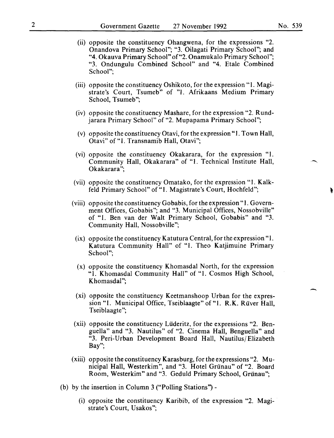- (ii) opposite the constituency Ohangwena, for the expressions "2. Onandova Primary School"; "3. Oilagati Primary School"; and "4. Okauva Primary School" of"2. Onamukalo Primary School"; "3. Ondungulu Combined School" and "4. Etale Combined School";
- (iii) opposite the constituency Oshikoto, for the expression "1. Magistrate's Court, Tsumeb" of "1. Afrikaans Medium Primary School, Tsumeb";
- (iv) opposite the constituency Mashare, for the expression "2. Rundjarara Primary School" of "2. Mupapama Primary School";
- (v) opposite the constituency Otavi, for the expression "1. Town Hall, Otavi" of "I. Transnamib Hall, Otavi";
- (vi) opposite the constituency Okakarara, for the expression "1. Community Hall, Okakarara" of "1. Technical Institute Hall, Okakarara":
- (vii) opposite the constituency Omatako, for the expression "I. Kalkfeld Primary School" of "1. Magistrate's Court, Hochfeld";
- (viii) opposite the constituency Gobabis, for the expression" 1. Government Offices, Gobabis"; and "3. Municipal Offices, Nossobville" of "1. Ben van der Walt Primary School, Gobabis" and "3. Community Hall, Nossobville";
- (ix) opposite the constituency Katutura Central, for the expression "1. Katutura Community Hall" of "1. Theo Katjimuine Primary School";
- (x) opposite the constituency Khomasdal North, for the expression "1. Khomasdal Community Hall" of "1. Cosmos High School, Khomasdal";
- (xi) opposite the constituency Keetmanshoop Urban for the expression "1. Municipal Office, Tseiblaagte" of "1. R.K. Rüver Hall, Tseiblaagte";
- (xii) opposite the constituency Liideritz, for the expressions "2. Benguella" and "3. Nautilus" of "2. Cinema Hall, Benguella" and "3. Peri-Urban Development Board Hall, Nautilus/ Elizabeth Bay";
- (xiii) opposite the constituency Karasburg, for the expressions "2. Municipal Hall, Westerkim", and "3. Hotel Griinau" of "2. Board Room, Westerkim" and "3. Geduld Primary School, Grünau";
- (b) by the insertion in Column 3 ("Polling Stations'')-
	- (i) opposite the constituency Karibib, of the expression "2. Magistrate's Court, Usakos";

-